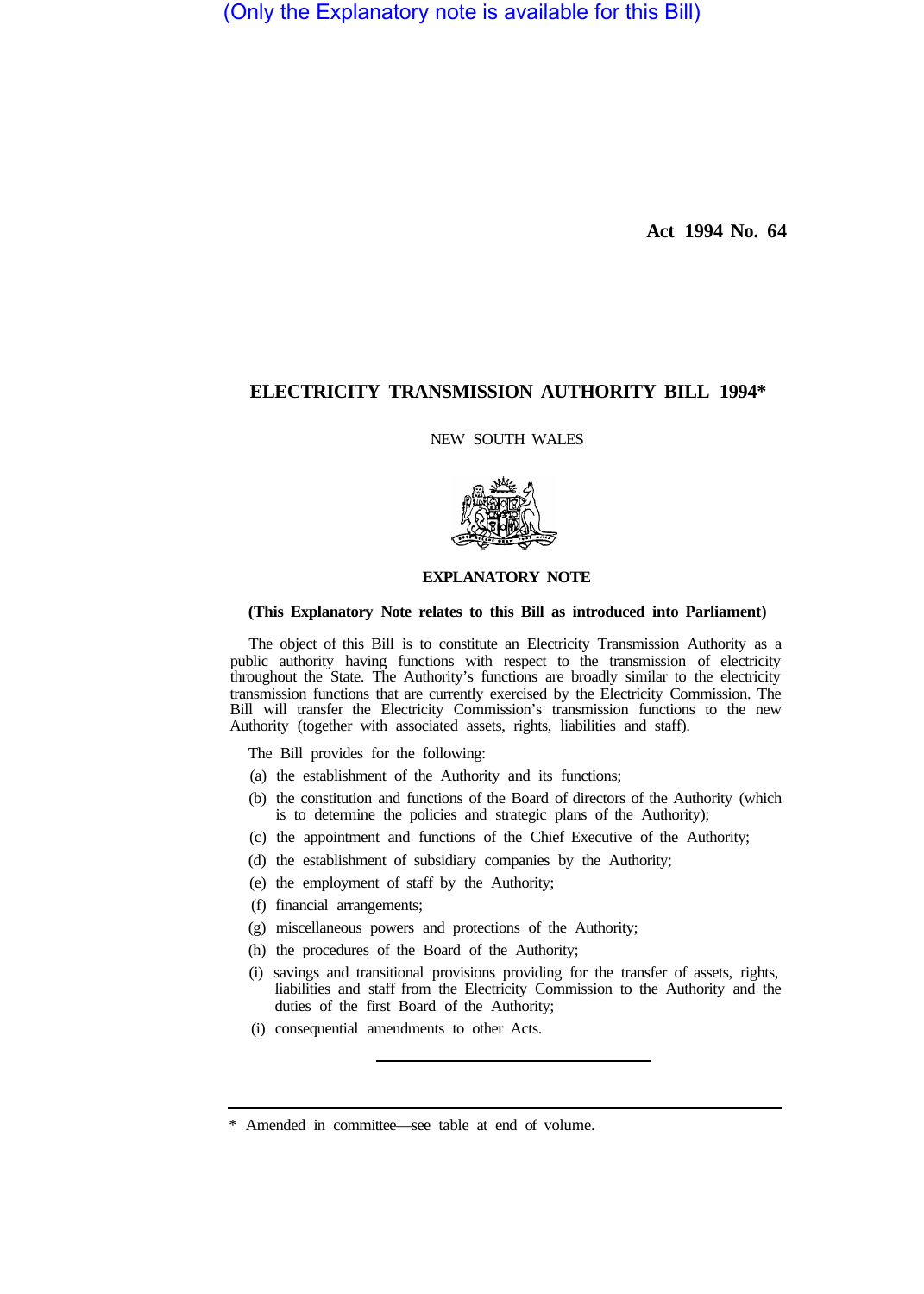(Only the Explanatory note is available for this Bill)

**Act 1994 No. 64** 

# **ELECTRICITY TRANSMISSION AUTHORITY BILL 1994\***

NEW SOUTH WALES



## **EXPLANATORY NOTE**

### **(This Explanatory Note relates to this Bill as introduced into Parliament)**

The object of this Bill is to constitute an Electricity Transmission Authority as a public authority having functions with respect to the transmission of electricity throughout the State. The Authority's functions are broadly similar to the electricity transmission functions that are currently exercised by the Electricity Commission. The Bill will transfer the Electricity Commission's transmission functions to the new Authority (together with associated assets, rights, liabilities and staff).

- The Bill provides for the following:
- (a) the establishment of the Authority and its functions;
- (b) the constitution and functions of the Board of directors of the Authority (which is to determine the policies and strategic plans of the Authority);
- (c) the appointment and functions of the Chief Executive of the Authority;
- (d) the establishment of subsidiary companies by the Authority;
- (e) the employment of staff by the Authority;
- (f) financial arrangements;
- (g) miscellaneous powers and protections of the Authority;
- (h) the procedures of the Board of the Authority;
- (i) savings and transitional provisions providing for the transfer of assets, rights, liabilities and staff from the Electricity Commission to the Authority and the duties of the first Board of the Authority;
- (i) consequential amendments to other Acts.

<sup>\*</sup> Amended in committee—see table at end of volume.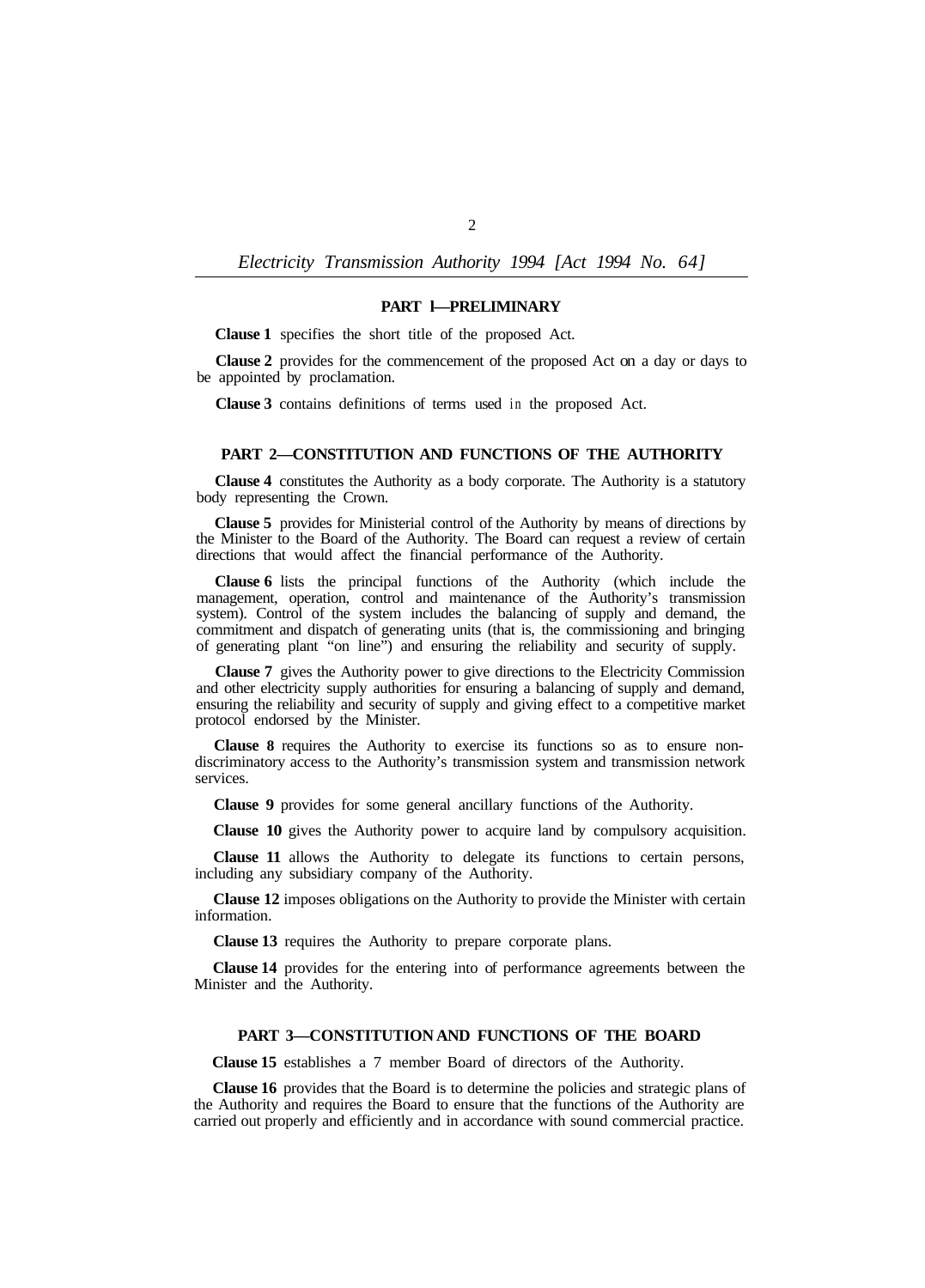## **PART l—PRELIMINARY**

**Clause 1** specifies the short title of the proposed Act.

**Clause 2** provides for the commencement of the proposed Act on a day or days to be appointed by proclamation.

**Clause 3** contains definitions of terms used in the proposed Act.

### **PART 2—CONSTITUTION AND FUNCTIONS OF THE AUTHORITY**

**Clause 4** constitutes the Authority as a body corporate. The Authority is a statutory body representing the Crown.

**Clause 5** provides for Ministerial control of the Authority by means of directions by the Minister to the Board of the Authority. The Board can request a review of certain directions that would affect the financial performance of the Authority.

**Clause 6** lists the principal functions of the Authority (which include the management, operation, control and maintenance of the Authority's transmission system). Control of the system includes the balancing of supply and demand, the commitment and dispatch of generating units (that is, the commissioning and bringing of generating plant "on line") and ensuring the reliability and security of supply.

**Clause 7** gives the Authority power to give directions to the Electricity Commission and other electricity supply authorities for ensuring a balancing of supply and demand, ensuring the reliability and security of supply and giving effect to a competitive market protocol endorsed by the Minister.

**Clause 8** requires the Authority to exercise its functions so as to ensure nondiscriminatory access to the Authority's transmission system and transmission network services.

**Clause 9** provides for some general ancillary functions of the Authority.

**Clause 10** gives the Authority power to acquire land by compulsory acquisition.

**Clause 11** allows the Authority to delegate its functions to certain persons, including any subsidiary company of the Authority.

**Clause 12** imposes obligations on the Authority to provide the Minister with certain information.

**Clause 13** requires the Authority to prepare corporate plans.

**Clause 14** provides for the entering into of performance agreements between the Minister and the Authority.

### **PART 3—CONSTITUTION AND FUNCTIONS OF THE BOARD**

**Clause 15** establishes a 7 member Board of directors of the Authority.

**Clause 16** provides that the Board is to determine the policies and strategic plans of the Authority and requires the Board to ensure that the functions of the Authority are carried out properly and efficiently and in accordance with sound commercial practice.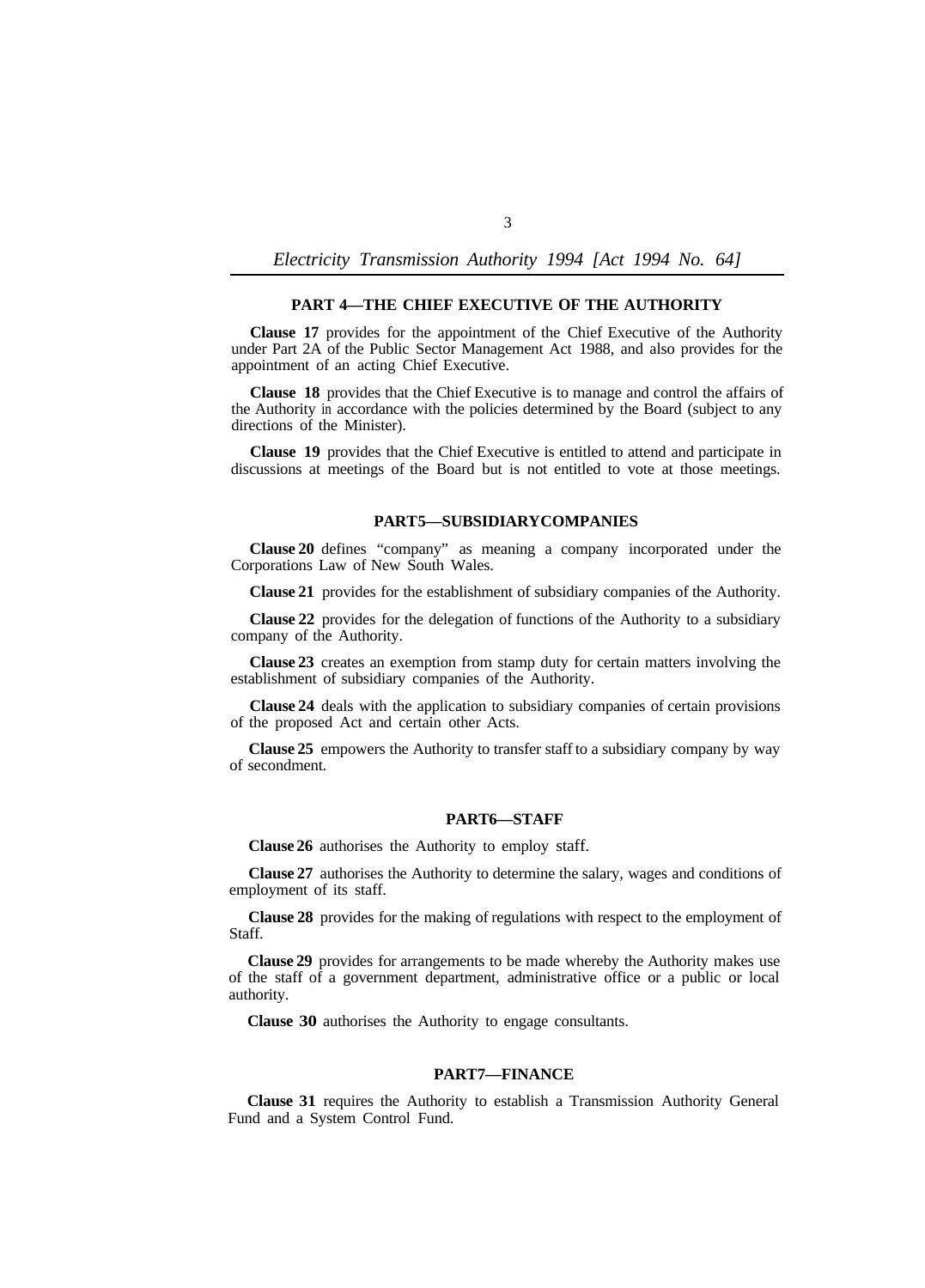## **PART 4—THE CHIEF EXECUTIVE OF THE AUTHORITY**

**Clause 17** provides for the appointment of the Chief Executive of the Authority under Part 2A of the Public Sector Management Act 1988, and also provides for the appointment of an acting Chief Executive.

**Clause 18** provides that the Chief Executive is to manage and control the affairs of the Authority in accordance with the policies determined by the Board (subject to any directions of the Minister).

**Clause 19** provides that the Chief Executive is entitled to attend and participate in discussions at meetings of the Board but is not entitled to vote at those meetings.

## **PART 5—SUBSIDIARY COMPANIES**

**Clause 20** defines "company" as meaning a company incorporated under the Corporations Law of New South Wales.

**Clause 21** provides for the establishment of subsidiary companies of the Authority.

**Clause 22** provides for the delegation of functions of the Authority to a subsidiary company of the Authority.

**Clause 23** creates an exemption from stamp duty for certain matters involving the establishment of subsidiary companies of the Authority.

**Clause 24** deals with the application to subsidiary companies of certain provisions of the proposed Act and certain other Acts.

**Clause 25** empowers the Authority to transfer staff to a subsidiary company by way of secondment.

#### PART6-STAFF

**Clause 26** authorises the Authority to employ staff.

**Clause 27** authorises the Authority to determine the salary, wages and conditions of employment of its staff.

**Clause 28** provides for the making of regulations with respect to the employment of Staff.

**Clause 29** provides for arrangements to be made whereby the Authority makes use of the staff of a government department, administrative office or a public or local authority.

**Clause 30** authorises the Authority to engage consultants.

#### **PART 7—FINANCE**

**Clause 31** requires the Authority to establish a Transmission Authority General Fund and a System Control Fund.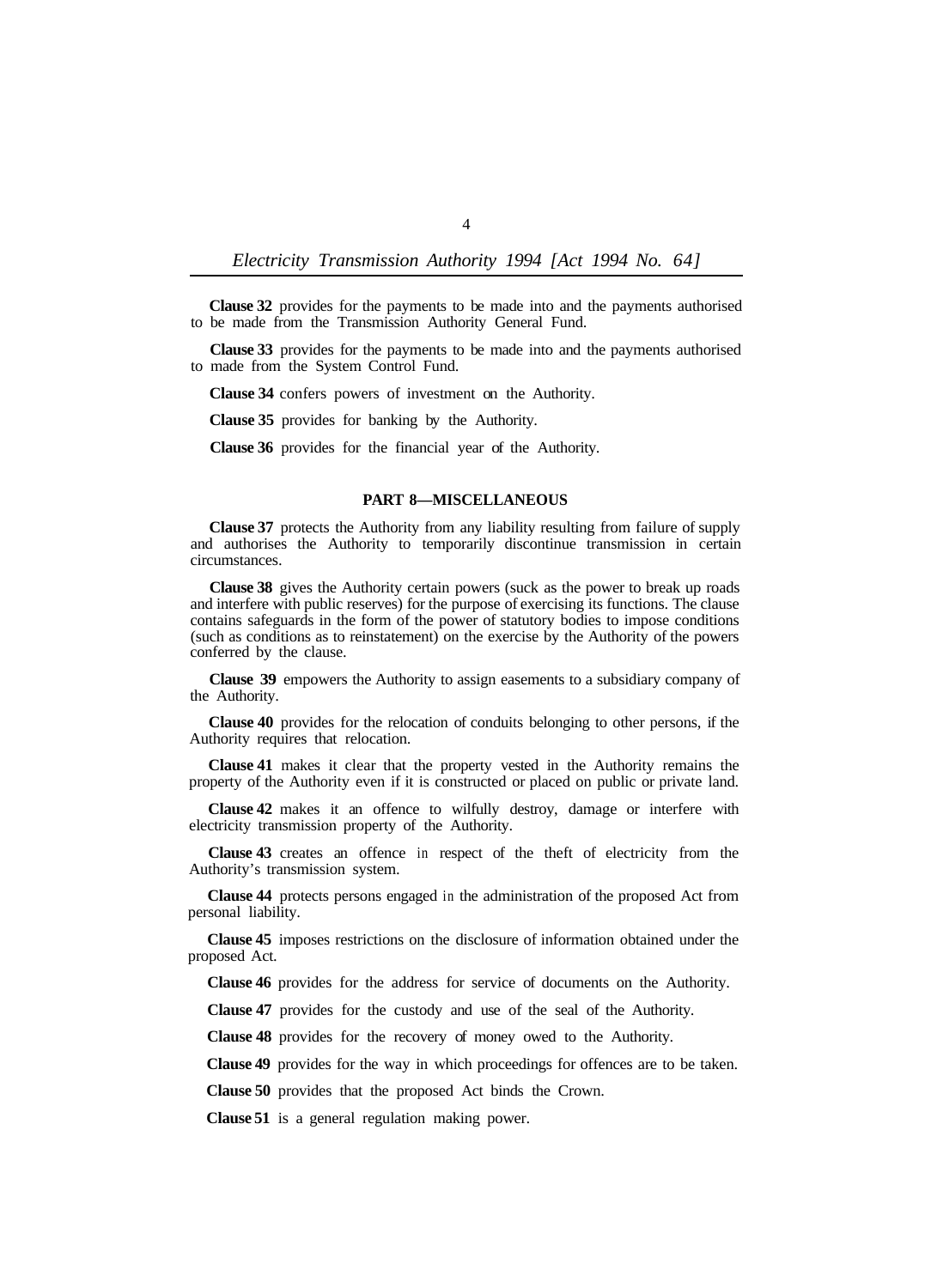**Clause 32** provides for the payments to be made into and the payments authorised to be made from the Transmission Authority General Fund.

**Clause 33** provides for the payments to be made into and the payments authorised to made from the System Control Fund.

**Clause 34** confers powers of investment on the Authority.

**Clause 35** provides for banking by the Authority.

**Clause 36** provides for the financial year of the Authority.

## **PART 8—MISCELLANEOUS**

**Clause 37** protects the Authority from any liability resulting from failure of supply and authorises the Authority to temporarily discontinue transmission in certain circumstances.

**Clause 38** gives the Authority certain powers (suck as the power to break up roads and interfere with public reserves) for the purpose of exercising its functions. The clause contains safeguards in the form of the power of statutory bodies to impose conditions (such as conditions as to reinstatement) on the exercise by the Authority of the powers conferred by the clause.

**Clause 39** empowers the Authority to assign easements to a subsidiary company of the Authority.

**Clause 40** provides for the relocation of conduits belonging to other persons, if the Authority requires that relocation.

**Clause 41** makes it clear that the property vested in the Authority remains the property of the Authority even if it is constructed or placed on public or private land.

**Clause 42** makes it an offence to wilfully destroy, damage or interfere with electricity transmission property of the Authority.

**Clause 43** creates an offence in respect of the theft of electricity from the Authority's transmission system.

**Clause 44** protects persons engaged in the administration of the proposed Act from personal liability.

**Clause 45** imposes restrictions on the disclosure of information obtained under the proposed Act.

**Clause 46** provides for the address for service of documents on the Authority.

**Clause 47** provides for the custody and use of the seal of the Authority.

**Clause 48** provides for the recovery of money owed to the Authority.

**Clause 49** provides for the way in which proceedings for offences are to be taken.

**Clause 50** provides that the proposed Act binds the Crown.

**Clause 51** is a general regulation making power.